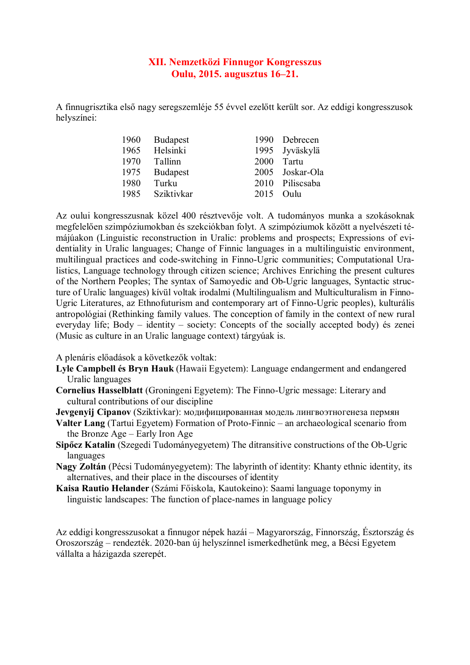## **XII. Nemzetközi Finnugor Kongresszus Oulu, 2015. augusztus 16–21.**

A finnugrisztika első nagy seregszemléje 55 évvel ezelőtt került sor. Az eddigi kongresszusok helyszínei:

| 1960 | <b>Budapest</b> |      | 1990 Debrecen   |
|------|-----------------|------|-----------------|
| 1965 | Helsinki        |      | 1995 Jyväskylä  |
| 1970 | <b>Tallinn</b>  | 2000 | Tartu           |
| 1975 | <b>Budapest</b> | 2005 | Joskar-Ola      |
| 1980 | Turku           |      | 2010 Piliscsaba |
| 1985 | Sziktivkar      | 2015 | Oulu            |

Az oului kongresszusnak közel 400 résztvevője volt. A tudományos munka a szokásoknak megfelelően szimpóziumokban és szekciókban folyt. A szimpóziumok között a nyelvészeti témájúakon (Linguistic reconstruction in Uralic: problems and prospects; Expressions of evidentiality in Uralic languages; Change of Finnic languages in a multilinguistic environment, multilingual practices and code-switching in Finno-Ugric communities; Computational Uralistics, Language technology through citizen science; Archives Enriching the present cultures of the Northern Peoples; The syntax of Samoyedic and Ob-Ugric languages, Syntactic structure of Uralic languages) kívül voltak irodalmi (Multilingualism and Multiculturalism in Finno-Ugric Literatures, az Ethnofuturism and contemporary art of Finno-Ugric peoples), kulturális antropológiai (Rethinking family values. The conception of family in the context of new rural everyday life; Body – identity – society: Concepts of the socially accepted body) és zenei (Music as culture in an Uralic language context) tárgyúak is.

A plenáris előadások a következők voltak:

- **Lyle Campbell és Bryn Hauk** (Hawaii Egyetem): Language endangerment and endangered Uralic languages
- **Cornelius Hasselblatt** (Groningeni Egyetem): The Finno-Ugric message: Literary and cultural contributions of our discipline

**Jevgenyij Cipanov** (Sziktivkar): модифицированная модель лингвоэтногенеза пермян

- **Valter Lang** (Tartui Egyetem) Formation of Proto-Finnic an archaeological scenario from the Bronze Age – Early Iron Age
- **Sipőcz Katalin** (Szegedi Tudományegyetem) The ditransitive constructions of the Ob-Ugric languages
- **Nagy Zoltán** (Pécsi Tudományegyetem): The labyrinth of identity: Khanty ethnic identity, its alternatives, and their place in the discourses of identity
- **Kaisa Rautio Helander** (Számi Főiskola, Kautokeino): Saami language toponymy in linguistic landscapes: The function of place-names in language policy

Az eddigi kongresszusokat a finnugor népek hazái – Magyarország, Finnország, Észtország és Oroszország – rendezték. 2020-ban új helyszínnel ismerkedhetünk meg, a Bécsi Egyetem vállalta a házigazda szerepét.